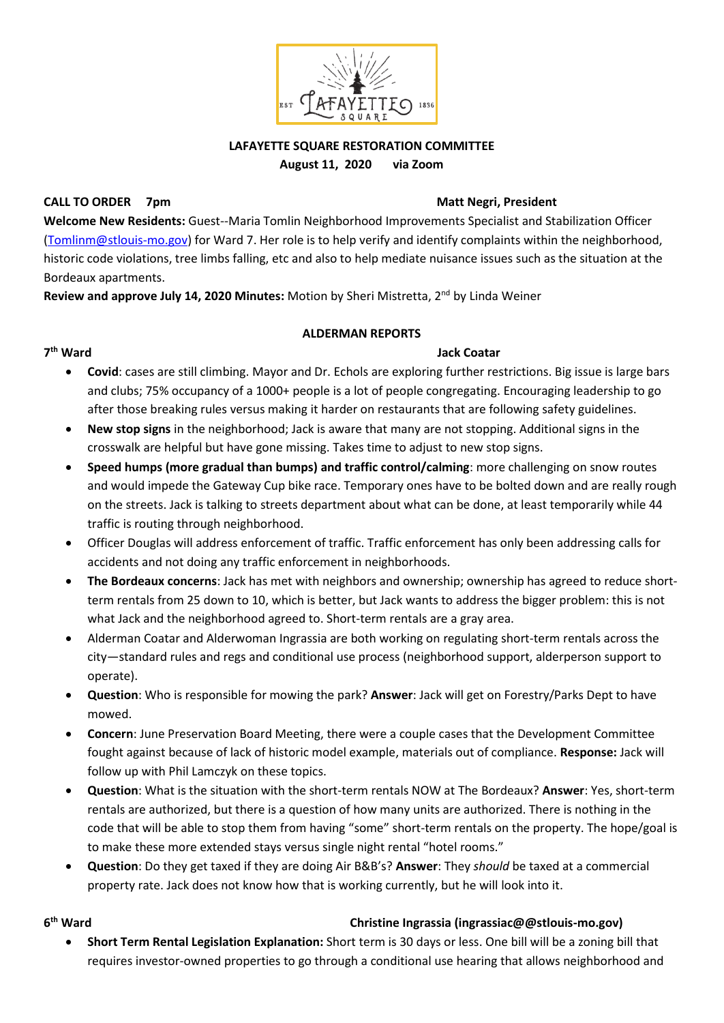

## **LAFAYETTE SQUARE RESTORATION COMMITTEE August 11, 2020 via Zoom**

### **CALL TO ORDER 7pm State 10 and 20 and 20 and 20 and 20 and 20 and 20 and 20 and 20 and 20 and 20 and 20 and 20 and 20 and 20 and 20 and 20 and 20 and 20 and 20 and 20 and 20 and 20 and 20 and 20 and 20 and 20 and 20 and 2**

7<sup>th</sup> Ward

**Welcome New Residents:** Guest--Maria Tomlin Neighborhood Improvements Specialist and Stabilization Officer [\(Tomlinm@stlouis-mo.gov\)](mailto:Tomlinm@stlouis-mo.gov) for Ward 7. Her role is to help verify and identify complaints within the neighborhood, historic code violations, tree limbs falling, etc and also to help mediate nuisance issues such as the situation at the Bordeaux apartments.

**Review and approve July 14, 2020 Minutes:** Motion by Sheri Mistretta, 2nd by Linda Weiner

### **ALDERMAN REPORTS**

### **Jack Coatar**

- **Covid**: cases are still climbing. Mayor and Dr. Echols are exploring further restrictions. Big issue is large bars and clubs; 75% occupancy of a 1000+ people is a lot of people congregating. Encouraging leadership to go after those breaking rules versus making it harder on restaurants that are following safety guidelines.
- **New stop signs** in the neighborhood; Jack is aware that many are not stopping. Additional signs in the crosswalk are helpful but have gone missing. Takes time to adjust to new stop signs.
- **Speed humps (more gradual than bumps) and traffic control/calming**: more challenging on snow routes and would impede the Gateway Cup bike race. Temporary ones have to be bolted down and are really rough on the streets. Jack is talking to streets department about what can be done, at least temporarily while 44 traffic is routing through neighborhood.
- Officer Douglas will address enforcement of traffic. Traffic enforcement has only been addressing calls for accidents and not doing any traffic enforcement in neighborhoods.
- **The Bordeaux concerns**: Jack has met with neighbors and ownership; ownership has agreed to reduce shortterm rentals from 25 down to 10, which is better, but Jack wants to address the bigger problem: this is not what Jack and the neighborhood agreed to. Short-term rentals are a gray area.
- Alderman Coatar and Alderwoman Ingrassia are both working on regulating short-term rentals across the city—standard rules and regs and conditional use process (neighborhood support, alderperson support to operate).
- **Question**: Who is responsible for mowing the park? **Answer**: Jack will get on Forestry/Parks Dept to have mowed.
- **Concern**: June Preservation Board Meeting, there were a couple cases that the Development Committee fought against because of lack of historic model example, materials out of compliance. **Response:** Jack will follow up with Phil Lamczyk on these topics.
- **Question**: What is the situation with the short-term rentals NOW at The Bordeaux? **Answer**: Yes, short-term rentals are authorized, but there is a question of how many units are authorized. There is nothing in the code that will be able to stop them from having "some" short-term rentals on the property. The hope/goal is to make these more extended stays versus single night rental "hotel rooms."
- **Question**: Do they get taxed if they are doing Air B&B's? **Answer**: They *should* be taxed at a commercial property rate. Jack does not know how that is working currently, but he will look into it.

## **6**

### **th Ward Christine Ingrassia (ingrassiac@@stlouis-mo.gov)**

• **Short Term Rental Legislation Explanation:** Short term is 30 days or less. One bill will be a zoning bill that requires investor-owned properties to go through a conditional use hearing that allows neighborhood and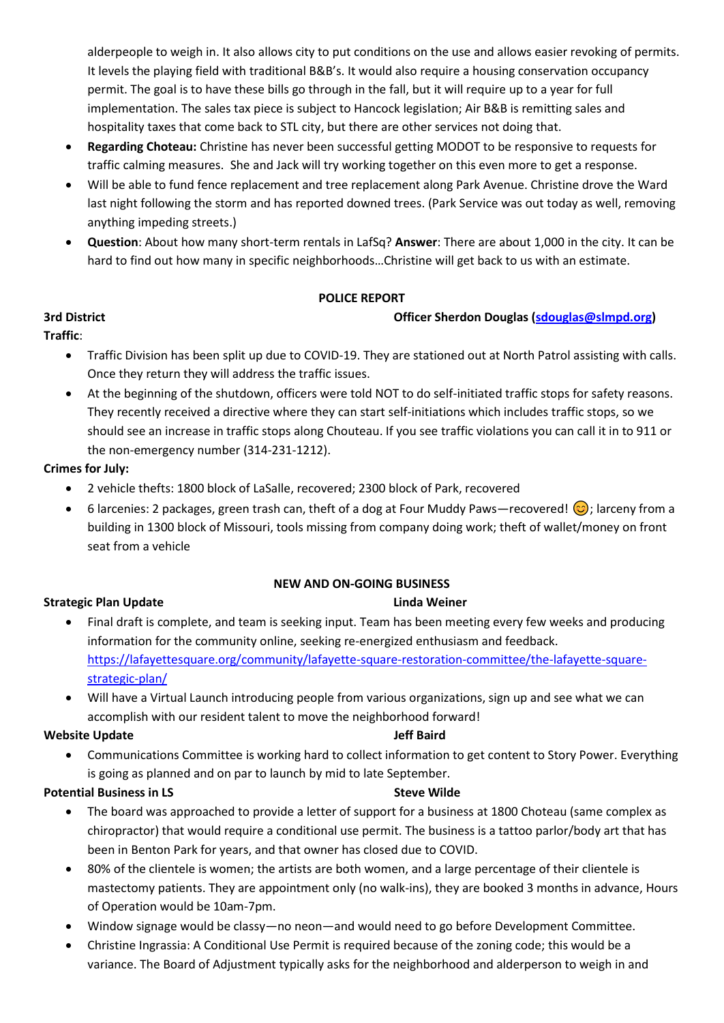alderpeople to weigh in. It also allows city to put conditions on the use and allows easier revoking of permits. It levels the playing field with traditional B&B's. It would also require a housing conservation occupancy permit. The goal is to have these bills go through in the fall, but it will require up to a year for full implementation. The sales tax piece is subject to Hancock legislation; Air B&B is remitting sales and hospitality taxes that come back to STL city, but there are other services not doing that.

- **Regarding Choteau:** Christine has never been successful getting MODOT to be responsive to requests for traffic calming measures. She and Jack will try working together on this even more to get a response.
- Will be able to fund fence replacement and tree replacement along Park Avenue. Christine drove the Ward last night following the storm and has reported downed trees. (Park Service was out today as well, removing anything impeding streets.)
- **Question**: About how many short-term rentals in LafSq? **Answer**: There are about 1,000 in the city. It can be hard to find out how many in specific neighborhoods…Christine will get back to us with an estimate.

### **POLICE REPORT**

### **3rd District Officer Sherdon Douglas [\(sdouglas@slmpd.org\)](mailto:sdouglas@slmpd.org)**

## **Traffic**:

- Traffic Division has been split up due to COVID-19. They are stationed out at North Patrol assisting with calls. Once they return they will address the traffic issues.
- At the beginning of the shutdown, officers were told NOT to do self-initiated traffic stops for safety reasons. They recently received a directive where they can start self-initiations which includes traffic stops, so we should see an increase in traffic stops along Chouteau. If you see traffic violations you can call it in to 911 or the non-emergency number (314-231-1212).

### **Crimes for July:**

- 2 vehicle thefts: 1800 block of LaSalle, recovered; 2300 block of Park, recovered
- 6 larcenies: 2 packages, green trash can, theft of a dog at Four Muddy Paws—recovered!  $\bigcirc$  ; larceny from a building in 1300 block of Missouri, tools missing from company doing work; theft of wallet/money on front seat from a vehicle

## **NEW AND ON-GOING BUSINESS**

## **Strategic Plan Update Linda Weiner Community Community Community Community Community Community Community Community**

- Final draft is complete, and team is seeking input. Team has been meeting every few weeks and producing information for the community online, seeking re-energized enthusiasm and feedback. [https://lafayettesquare.org/community/lafayette-square-restoration-committee/the-lafayette-square](https://lafayettesquare.org/community/lafayette-square-restoration-committee/the-lafayette-square-strategic-plan/)[strategic-plan/](https://lafayettesquare.org/community/lafayette-square-restoration-committee/the-lafayette-square-strategic-plan/)
- Will have a Virtual Launch introducing people from various organizations, sign up and see what we can accomplish with our resident talent to move the neighborhood forward!

### **Website Update 3 and 2018 1999 Media 10 and 2018 1999 Media 10 and 30 and 30 and 30 and 30 and 30 and 30 and 30 and 30 and 30 and 30 and 30 and 30 and 30 and 30 and 30 and 30 and 30 and 30 and 30 and 30 and 30 and 30 and**

• Communications Committee is working hard to collect information to get content to Story Power. Everything is going as planned and on par to launch by mid to late September.

## **Potential Business in LS**  $\qquad \qquad$  **Steve Wilde**

- The board was approached to provide a letter of support for a business at 1800 Choteau (same complex as chiropractor) that would require a conditional use permit. The business is a tattoo parlor/body art that has been in Benton Park for years, and that owner has closed due to COVID.
- 80% of the clientele is women; the artists are both women, and a large percentage of their clientele is mastectomy patients. They are appointment only (no walk-ins), they are booked 3 months in advance, Hours of Operation would be 10am-7pm.
- Window signage would be classy—no neon—and would need to go before Development Committee.
- Christine Ingrassia: A Conditional Use Permit is required because of the zoning code; this would be a variance. The Board of Adjustment typically asks for the neighborhood and alderperson to weigh in and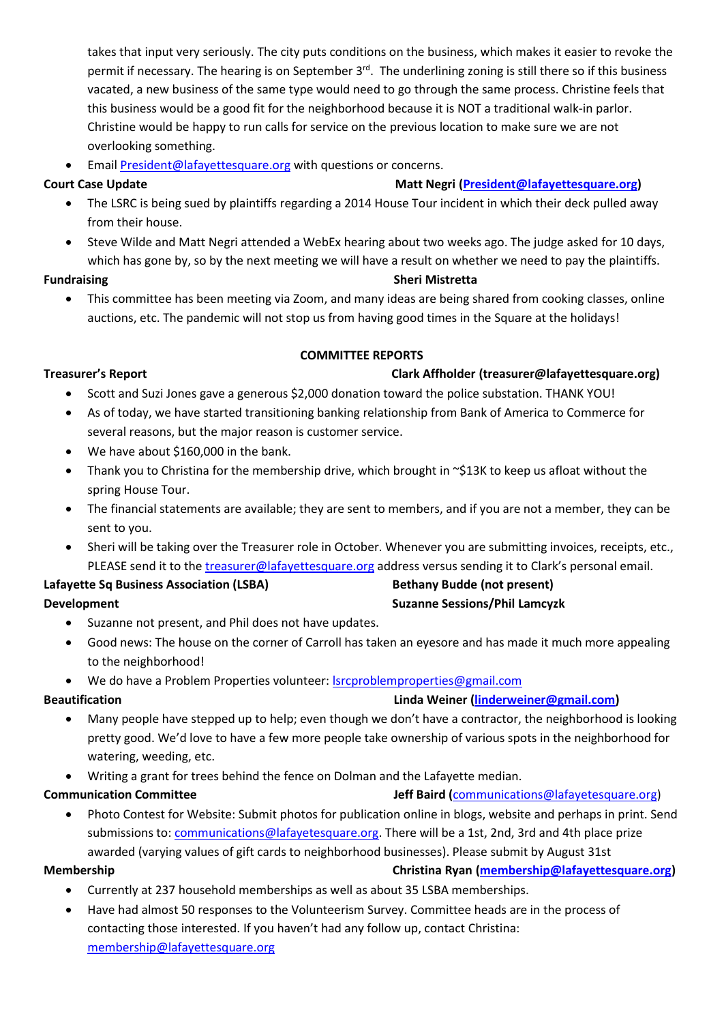takes that input very seriously. The city puts conditions on the business, which makes it easier to revoke the permit if necessary. The hearing is on September 3<sup>rd</sup>. The underlining zoning is still there so if this business vacated, a new business of the same type would need to go through the same process. Christine feels that this business would be a good fit for the neighborhood because it is NOT a traditional walk-in parlor. Christine would be happy to run calls for service on the previous location to make sure we are not overlooking something.

• Email [President@lafayettesquare.org](mailto:President@lafayettesquare.org) with questions or concerns.

### **Court Case Update Matt Negri [\(President@lafayettesquare.org\)](mailto:President@lafayettesquare.org) Matt Negri (President@lafayettesquare.org)**

- The LSRC is being sued by plaintiffs regarding a 2014 House Tour incident in which their deck pulled away from their house.
- Steve Wilde and Matt Negri attended a WebEx hearing about two weeks ago. The judge asked for 10 days, which has gone by, so by the next meeting we will have a result on whether we need to pay the plaintiffs.

### **Fundraising Sheri Mistretta**

• This committee has been meeting via Zoom, and many ideas are being shared from cooking classes, online auctions, etc. The pandemic will not stop us from having good times in the Square at the holidays!

### **COMMITTEE REPORTS**

### **Treasurer's Report Clark Affholder (treasurer@lafayettesquare.org)**

- Scott and Suzi Jones gave a generous \$2,000 donation toward the police substation. THANK YOU!
- As of today, we have started transitioning banking relationship from Bank of America to Commerce for several reasons, but the major reason is customer service.
- We have about \$160,000 in the bank.
- Thank you to Christina for the membership drive, which brought in ~\$13K to keep us afloat without the spring House Tour.
- The financial statements are available; they are sent to members, and if you are not a member, they can be sent to you.
- Sheri will be taking over the Treasurer role in October. Whenever you are submitting invoices, receipts, etc., PLEASE send it to the [treasurer@lafayettesquare.org](mailto:treasurer@lafayettesquare.org) address versus sending it to Clark's personal email.

## Lafayette Sq Business Association (LSBA) Bethany Budde (not present) **Development** Suzanne Sessions/Phil Lamcyzk **Suzanne Sessions/Phil Lamcyzk**

- Suzanne not present, and Phil does not have updates.
- Good news: The house on the corner of Carroll has taken an eyesore and has made it much more appealing to the neighborhood!
- We do have a Problem Properties volunteer[: lsrcproblemproperties@gmail.com](mailto:lsrcproblemproperties@gmail.com)

**Beautification Linda Weiner [\(linderweiner@gmail.com\)](mailto:linderweiner@gmail.com)**

- Many people have stepped up to help; even though we don't have a contractor, the neighborhood is looking pretty good. We'd love to have a few more people take ownership of various spots in the neighborhood for watering, weeding, etc.
- Writing a grant for trees behind the fence on Dolman and the Lafayette median.

## **Communication Committee 1996 1997 1998 12 Jeff Baird ([communications@lafayetesquare.org\)](mailto:communications@lafayetesquare.org)**

• Photo Contest for Website: Submit photos for publication online in blogs, website and perhaps in print. Send submissions to[: communications@lafayetesquare.org.](mailto:communications@lafayetesquare.org) There will be a 1st, 2nd, 3rd and 4th place prize awarded (varying values of gift cards to neighborhood businesses). Please submit by August 31st

- **Membership Christina Ryan [\(membership@lafayettesquare.org\)](mailto:membership@lafayettesquare.org)**  • Currently at 237 household memberships as well as about 35 LSBA memberships.
	- Have had almost 50 responses to the Volunteerism Survey. Committee heads are in the process of contacting those interested. If you haven't had any follow up, contact Christina: [membership@lafayettesquare.org](mailto:membership@lafayettesquare.org)